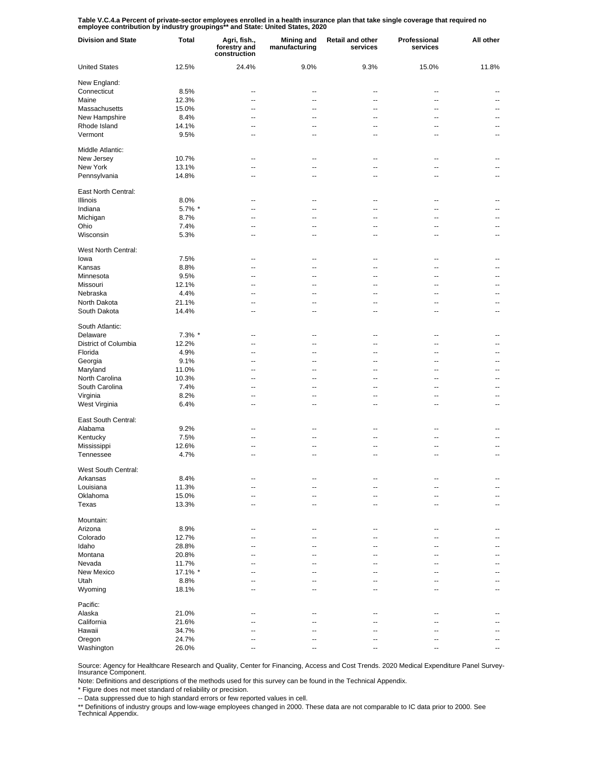**Table V.C.4.a Percent of private-sector employees enrolled in a health insurance plan that take single coverage that required no employee contribution by industry groupings\*\* and State: United States, 2020**

| <b>Division and State</b> | Total   | Agri, fish.,<br>forestry and<br>construction | <b>Mining and</b><br>manufacturing | Retail and other<br>services | Professional<br>services | All other |
|---------------------------|---------|----------------------------------------------|------------------------------------|------------------------------|--------------------------|-----------|
| <b>United States</b>      | 12.5%   | 24.4%                                        | 9.0%                               | 9.3%                         | 15.0%                    | 11.8%     |
| New England:              |         |                                              |                                    |                              |                          |           |
| Connecticut               | 8.5%    | --                                           | --                                 | --                           | --                       |           |
| Maine                     | 12.3%   | --                                           | --                                 | --                           | --                       | ۰.        |
| Massachusetts             | 15.0%   | --                                           | --                                 | --                           | --                       | --        |
| New Hampshire             | 8.4%    | --                                           | --                                 | $\overline{\phantom{a}}$     | --                       | ۰.        |
| Rhode Island              | 14.1%   | --                                           | --                                 | --                           | --                       | ۰.        |
| Vermont                   | 9.5%    | --                                           | --                                 | --                           | --                       | --        |
| Middle Atlantic:          |         |                                              |                                    |                              |                          |           |
| New Jersey                | 10.7%   | --                                           | --                                 | --                           | --                       |           |
| New York                  | 13.1%   | --                                           | --                                 | --                           | --                       | --        |
| Pennsylvania              | 14.8%   | --                                           | --                                 | --                           | --                       | --        |
| East North Central:       |         |                                              |                                    |                              |                          |           |
| Illinois                  | 8.0%    | --                                           | --                                 | --                           | --                       |           |
| Indiana                   | 5.7% *  | --                                           | --                                 | $\overline{\phantom{a}}$     | --                       | --        |
| Michigan                  | 8.7%    | -−                                           | --                                 | $\overline{\phantom{a}}$     | $\overline{a}$           | --        |
| Ohio                      | 7.4%    | -−                                           | --                                 | $\overline{\phantom{a}}$     | $\overline{a}$           | --        |
| Wisconsin                 | 5.3%    | ۵.                                           | --                                 | $\overline{a}$               | ۵.                       | --        |
| West North Central:       |         |                                              |                                    |                              |                          |           |
| lowa                      | 7.5%    | --                                           | --                                 | --                           | --                       |           |
| Kansas                    | 8.8%    | --                                           | --                                 | --                           | --                       | ۰.        |
| Minnesota                 | 9.5%    | --                                           | --                                 | --                           | --                       | ۰.        |
| Missouri                  | 12.1%   | --                                           | --                                 | --                           | --                       | --        |
| Nebraska                  | 4.4%    | --                                           | --                                 | --                           | --                       | --        |
| North Dakota              | 21.1%   | --                                           | --                                 | --                           | --                       | ۰.        |
| South Dakota              | 14.4%   | --                                           | --                                 | --                           | --                       | ۰.        |
| South Atlantic:           |         |                                              |                                    |                              |                          |           |
| Delaware                  | 7.3% *  | --                                           | --                                 | --                           | --                       |           |
| District of Columbia      | 12.2%   | ٠.                                           | --                                 | --                           | --                       | --        |
| Florida                   | 4.9%    | --                                           | --                                 | --                           | --                       | --        |
| Georgia                   | 9.1%    | ٠.                                           | --                                 | --                           | --                       | --        |
| Maryland                  | 11.0%   | --                                           | --                                 | --                           | --                       | --        |
| North Carolina            | 10.3%   | ٠.                                           | --                                 | --                           | --                       | --        |
| South Carolina            | 7.4%    | --                                           | --                                 | --                           | --                       | --        |
| Virginia                  | 8.2%    | ٠.                                           | --                                 | --                           | --                       | --        |
| West Virginia             | 6.4%    | --                                           | --                                 | --                           | ٠.                       | --        |
|                           |         |                                              |                                    |                              |                          |           |
| East South Central:       |         |                                              |                                    |                              |                          |           |
| Alabama                   | 9.2%    | --                                           | --                                 | --                           | --                       |           |
| Kentucky                  | 7.5%    | ۵.                                           | --                                 | --                           | $\overline{a}$           |           |
| Mississippi               | 12.6%   | --                                           | --                                 | --                           | --                       | --        |
| Tennessee                 | 4.7%    | ۵.                                           | $\overline{a}$                     | $\overline{a}$               | $\overline{a}$           | --        |
| West South Central:       |         |                                              |                                    |                              |                          |           |
| Arkansas                  | 8.4%    | --                                           |                                    |                              | --                       |           |
| Louisiana                 | 11.3%   | --                                           | --                                 | --                           | --                       |           |
| Oklahoma                  | 15.0%   | --                                           |                                    | --                           | --                       |           |
| Texas                     | 13.3%   | --                                           | --                                 | --                           | --                       | --        |
| Mountain:                 |         |                                              |                                    |                              |                          |           |
| Arizona                   | 8.9%    | --                                           | --                                 | --                           | ٠.                       |           |
| Colorado                  | 12.7%   | --                                           | -−                                 |                              | --                       |           |
| Idaho                     | 28.8%   |                                              |                                    |                              |                          |           |
| Montana                   | 20.8%   |                                              |                                    |                              | --                       |           |
| Nevada                    | 11.7%   |                                              |                                    |                              |                          |           |
| New Mexico                | 17.1% * |                                              |                                    |                              |                          |           |
| Utah                      | 8.8%    |                                              | --                                 |                              |                          |           |
| Wyoming                   | 18.1%   |                                              | ۵.                                 |                              |                          | --        |
| Pacific:                  |         |                                              |                                    |                              |                          |           |
| Alaska                    | 21.0%   |                                              |                                    |                              |                          |           |
| California                | 21.6%   |                                              |                                    |                              |                          |           |
| Hawaii                    | 34.7%   |                                              |                                    |                              | --                       |           |
| Oregon                    | 24.7%   |                                              |                                    |                              |                          |           |
| Washington                | 26.0%   | --                                           |                                    |                              | $\overline{a}$           | --        |
|                           |         |                                              |                                    |                              |                          |           |

Source: Agency for Healthcare Research and Quality, Center for Financing, Access and Cost Trends. 2020 Medical Expenditure Panel Survey-Insurance Component.

Note: Definitions and descriptions of the methods used for this survey can be found in the Technical Appendix.<br>\* Figure does not meet standard of reliability or precision.

\* Figure does not meet standard of reliability or precision.

-- Data suppressed due to high standard errors or few reported values in cell.

\*\* Definitions of industry groups and low-wage employees changed in 2000. These data are not comparable to IC data prior to 2000. See Technical Appendix.